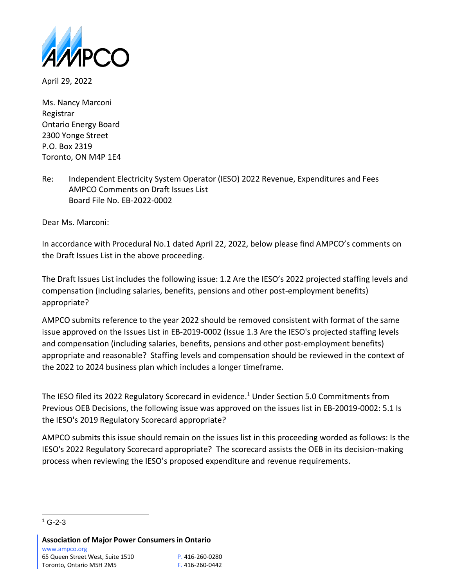

April 29, 2022

Ms. Nancy Marconi Registrar Ontario Energy Board 2300 Yonge Street P.O. Box 2319 Toronto, ON M4P 1E4

Re: Independent Electricity System Operator (IESO) 2022 Revenue, Expenditures and Fees AMPCO Comments on Draft Issues List Board File No. EB-2022-0002

Dear Ms. Marconi:

In accordance with Procedural No.1 dated April 22, 2022, below please find AMPCO's comments on the Draft Issues List in the above proceeding.

The Draft Issues List includes the following issue: 1.2 Are the IESO's 2022 projected staffing levels and compensation (including salaries, benefits, pensions and other post-employment benefits) appropriate?

AMPCO submits reference to the year 2022 should be removed consistent with format of the same issue approved on the Issues List in EB-2019-0002 (Issue 1.3 Are the IESO's projected staffing levels and compensation (including salaries, benefits, pensions and other post-employment benefits) appropriate and reasonable? Staffing levels and compensation should be reviewed in the context of the 2022 to 2024 business plan which includes a longer timeframe.

The IESO filed its 2022 Regulatory Scorecard in evidence. <sup>1</sup> Under Section 5.0 Commitments from Previous OEB Decisions, the following issue was approved on the issues list in EB-20019-0002: 5.1 Is the IESO's 2019 Regulatory Scorecard appropriate?

AMPCO submits this issue should remain on the issues list in this proceeding worded as follows: Is the IESO's 2022 Regulatory Scorecard appropriate? The scorecard assists the OEB in its decision-making process when reviewing the IESO's proposed expenditure and revenue requirements.

 $1$  G-2-3